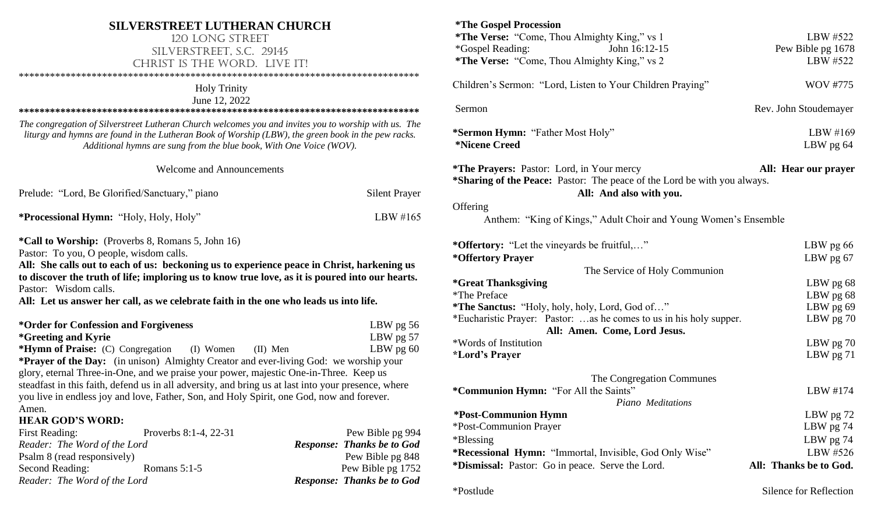## **SILVERSTREET LUTHERAN CHURCH**

### 120 Long Street Silverstreet, S.C. 29145 CHRIST IS THE WORD. LIVE IT!

\*\*\*\*\*\*\*\*\*\*\*\*\*\*\*\*\*\*\*\*\*\*\*\*\*\*\*\*\*\*\*\*\*\*\*\*\*\*\*\*\*\*\*\*\*\*\*\*\*\*\*\*\*\*\*\*\*\*\*\*\*\*\*\*\*\*\*\*\*\*\*\*\*\*\*\*\*

## Holy Trinity

June 12, 2022

**\*\*\*\*\*\*\*\*\*\*\*\*\*\*\*\*\*\*\*\*\*\*\*\*\*\*\*\*\*\*\*\*\*\*\*\*\*\*\*\*\*\*\*\*\*\*\*\*\*\*\*\*\*\*\*\*\*\*\*\*\*\*\*\*\*\*\*\*\*\*\*\*\*\*\*\*\***

*The congregation of Silverstreet Lutheran Church welcomes you and invites you to worship with us. The liturgy and hymns are found in the Lutheran Book of Worship (LBW), the green book in the pew racks. Additional hymns are sung from the blue book, With One Voice (WOV).*

Welcome and Announcements

| Prelude: "Lord, Be Glorified/Sanctuary," piano           | <b>Silent Prayer</b> |
|----------------------------------------------------------|----------------------|
| <b>*Processional Hymn: "Holy, Holy, Holy"</b>            | LBW #165             |
| <b>*Call to Worship:</b> (Proverbs 8, Romans 5, John 16) |                      |

Pastor: To you, O people, wisdom calls.

**All: She calls out to each of us: beckoning us to experience peace in Christ, harkening us to discover the truth of life; imploring us to know true love, as it is poured into our hearts.**  Pastor: Wisdom calls.

**All: Let us answer her call, as we celebrate faith in the one who leads us into life.**

| *Order for Confession and Forgiveness                                                 |                       |            | LBW $pg$ 56                                                                                         |
|---------------------------------------------------------------------------------------|-----------------------|------------|-----------------------------------------------------------------------------------------------------|
| <i>*Greeting and Kyrie</i>                                                            |                       |            | LBW pg 57                                                                                           |
| *Hymn of Praise: (C) Congregation (I) Women                                           |                       | $(II)$ Men | LBW $pg 60$                                                                                         |
|                                                                                       |                       |            | <b>*Prayer of the Day:</b> (in unison) Almighty Creator and ever-living God: we worship your        |
| glory, eternal Three-in-One, and we praise your power, majestic One-in-Three. Keep us |                       |            |                                                                                                     |
|                                                                                       |                       |            | steadfast in this faith, defend us in all adversity, and bring us at last into your presence, where |
|                                                                                       |                       |            | you live in endless joy and love, Father, Son, and Holy Spirit, one God, now and forever.           |
| Amen.                                                                                 |                       |            |                                                                                                     |
| <b>HEAR GOD'S WORD:</b>                                                               |                       |            |                                                                                                     |
| <b>First Reading:</b>                                                                 | Proverbs 8:1-4, 22-31 |            | Pew Bible pg 994                                                                                    |
| Reader: The Word of the Lord                                                          |                       |            | <b>Response: Thanks be to God</b>                                                                   |
| $\mathbf{D}$ 1 0 $($ 1 $($ 1 $)$                                                      |                       |            | <u>הגה וירד ת</u>                                                                                   |

| Psalm 8 (read responsively)  |                |
|------------------------------|----------------|
| Second Reading:              | Romans $5:1-5$ |
| Reader: The Word of the Lord |                |

Pew Bible pg 848 Pew Bible pg 1752 *Reader: The Word of the Lord Response: Thanks be to God*

| <i><b>*The Gospel Procession</b></i>                                     |                        |
|--------------------------------------------------------------------------|------------------------|
| *The Verse: "Come, Thou Almighty King," vs 1                             | LBW #522               |
| John 16:12-15<br><i>*</i> Gospel Reading:                                | Pew Bible pg 1678      |
|                                                                          |                        |
| *The Verse: "Come, Thou Almighty King," vs 2                             | LBW #522               |
| Children's Sermon: "Lord, Listen to Your Children Praying"               | <b>WOV #775</b>        |
| Sermon                                                                   | Rev. John Stoudemayer  |
| *Sermon Hymn: "Father Most Holy"                                         | LBW #169               |
| <i>*Nicene Creed</i>                                                     | LBW pg $64$            |
| <b>*The Prayers:</b> Pastor: Lord, in Your mercy                         | All: Hear our prayer   |
| *Sharing of the Peace: Pastor: The peace of the Lord be with you always. |                        |
| All: And also with you.                                                  |                        |
| Offering                                                                 |                        |
| Anthem: "King of Kings," Adult Choir and Young Women's Ensemble          |                        |
| *Offertory: "Let the vineyards be fruitful,"                             | LBW pg $66$            |
| *Offertory Prayer                                                        | LBW pg 67              |
| The Service of Holy Communion                                            |                        |
| <i><b>*Great Thanksgiving</b></i>                                        | LBW pg 68              |
| *The Preface                                                             | LBW pg 68              |
| *The Sanctus: "Holy, holy, holy, Lord, God of"                           | LBW pg 69              |
| *Eucharistic Prayer: Pastor: as he comes to us in his holy supper.       | LBW pg 70              |
| All: Amen. Come, Lord Jesus.                                             |                        |
| *Words of Institution                                                    | LBW $pg 70$            |
| <i><b>*Lord's Prayer</b></i>                                             | LBW $pg 71$            |
|                                                                          |                        |
| The Congregation Communes                                                |                        |
| *Communion Hymn: "For All the Saints"                                    | LBW #174               |
| Piano Meditations                                                        |                        |
| <b>*Post-Communion Hymn</b>                                              | LBW pg 72              |
| *Post-Communion Prayer                                                   | LBW $pg$ 74            |
| *Blessing                                                                | LBW pg 74              |
| <b>*Recessional Hymn:</b> "Immortal, Invisible, God Only Wise"           | LBW #526               |
| *Dismissal: Pastor: Go in peace. Serve the Lord.                         | All: Thanks be to God. |
|                                                                          |                        |
| *Postlude                                                                | Silence for Reflection |